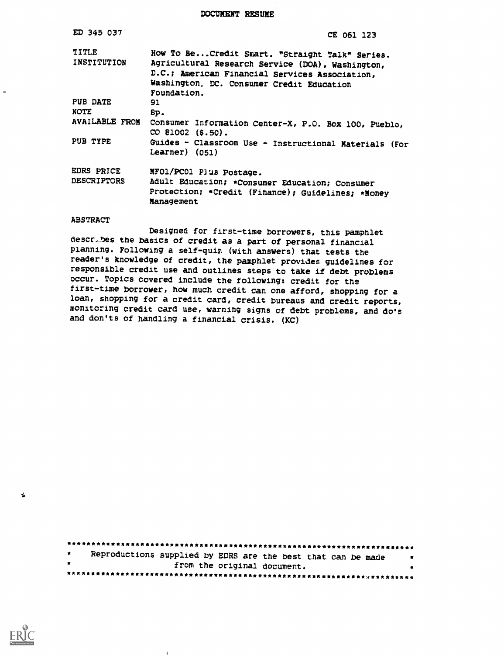DOCUMENT RESUME

| ED 345 037                       | CE 061 123                                                                                                                                                                                                        |
|----------------------------------|-------------------------------------------------------------------------------------------------------------------------------------------------------------------------------------------------------------------|
| TITLE<br>INSTITUTION             | How To Be Credit Smart. "Straight Talk" Series.<br>Agricultural Research Service (DOA), Washington,<br>D.C.; American Financial Services Association,<br>Washington, DC. Consumer Credit Education<br>Foundation. |
| PUB DATE<br><b>NOTE</b>          | 91<br>8p.                                                                                                                                                                                                         |
| <b>AVAILABLE FROM</b>            | Consumer Information Center-X, P.O. Box 100, Pueblo,<br>CO 81002 (\$.50).                                                                                                                                         |
| PUB TYPE                         | Guides - Classroom Use - Instructional Materials (For<br>$Learner)$ (051)                                                                                                                                         |
| EDRS PRICE<br><b>DESCRIPTORS</b> | MFO1/PC01 Plus Postage.<br>Adult Education; *Consumer Education; Consumer<br>Protection; *Credit (Finance); Guidelines; *Money<br>Management                                                                      |
| <b>ABSTRACT</b>                  |                                                                                                                                                                                                                   |

Designed for first-time borrowers, this pamphlet describes the basics of credit as a part of personal financial planning. Following a self-quiz (with answers) that tests the reader's knowledge of credit, the pamphlet provides guidelines for responsible credit use and outlines steps to take if debt problems occur. Topics covered include the following: credit for the first-time borrower, how much credit can one afford, shopping for a loan, shopping for a credit card, credit bureaus and credit reports, monitoring credit card use, warning signs of debt problems, and do's and don'ts of handling a financial crisis. (KC)

Reproductions supplied by EDRS are the best that can be made  $\star$  $\mathbb R$  $\bullet$ from the original document. **我关注我发生我我在在我的女主任我们的女主任我的女主任我们的女主任我的女主任我的女主任女主任女主任女主任女主任女主任女主任女主任女主任女主任女主任女** 



 $\pmb{\epsilon}$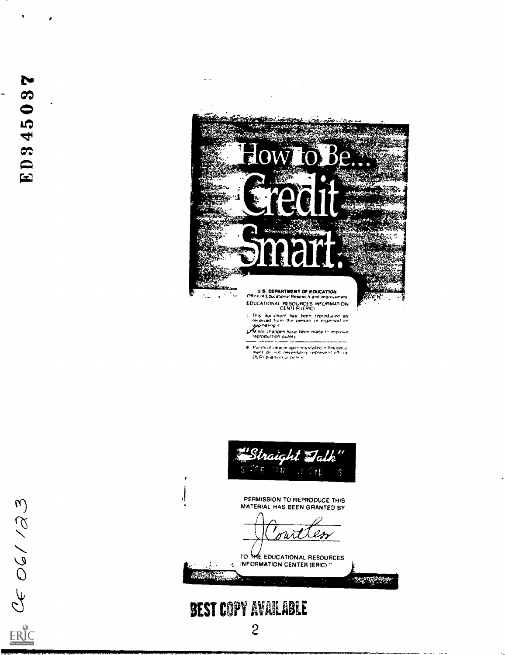Ee af 06/123



 $\omega_{\rm{max}}$ 

Contract is the the reproduced as<br>recaived from the person or organization<br>diagnosting it<br>Minor changes have been made to improve<br>reproduction quality

Plants of view or opinions stated in this document do red lines stated in this document do red free stated in this document

"Straight Talk 城校  $A \rightarrow F$ Š **PERMISSION TO REPRODUCE THIS** MATERIAL HAS BEEN GRANTED BY

TO THE EDUCATIONAL RESOURCES 4 INFORMATION CENTER (ERIC)."

**CONSTRUCTION** 

# **BEST COPY AVAILABLE**

والأبد

Real of the contract of the contract of the contract of the contract of the contract of the contract of the contract of the contract of the contract of the contract of the contract of the contract of the contract of the co

۱.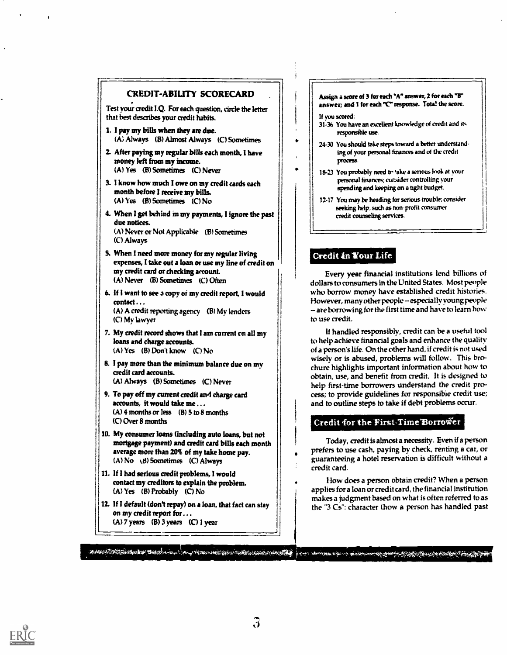

 $(A)$  7 years (B) 3 years (C) 1 year

#### Assign a score of 3 for each "A" answer, 2 for each "8" answer; and 1 for each "C" response. Tota! the score.

If you sewed:

- 31-36 You have an excellent knowledge of credit and us responsible use.
- 24-30 You should take steps toward a better understand. ing of your personal finances and of the credit proorss.
- 18-23 You probably need to 'ake a senous look at your personal finances; cur.sider controlling your spending and keeping on a tight budget.
- 12-17 You may be heading for serious trouble; consider seeking help, such as non-profit consumer credit counseling services.

# Credit in Your Life

Every year financial institutions lend billions of dollars to consumers in the United States. Most people who borrow money have established credit histories. However, many other people -- especially young people are borrowing for the first time and have to learn how to use credit.

If handled responsibly, credit can be a useful tool to help achieve financial goals and enhance the quality of a person's life. On the other hand, if credit is not used wisely or is abused, problems will follow. This brochure highlights important information about how to obtain, use, and benefit from credit. It is designed to help first-time borrowers understand the credit process; to provide guidelines for responsible credit use; and to outline steps to take if debt problems occur.

## Credit for the First-Time"Borrower

Today, credit is almost a necessity. Even if a person prefers to use cash, paying by check, renting a car, or guaranteeing a hotel reservation is difficult without a credit card.

How does a person obtain credit? When a person applies for a loan or credit card, the financial institution makes a judgment based on what is often referred to as the "3 Cs": character (how a person has handled past



tui,,j,ZAT..4.4\$ 4mi; lt,044-1:-.. IlbeVisM,141,0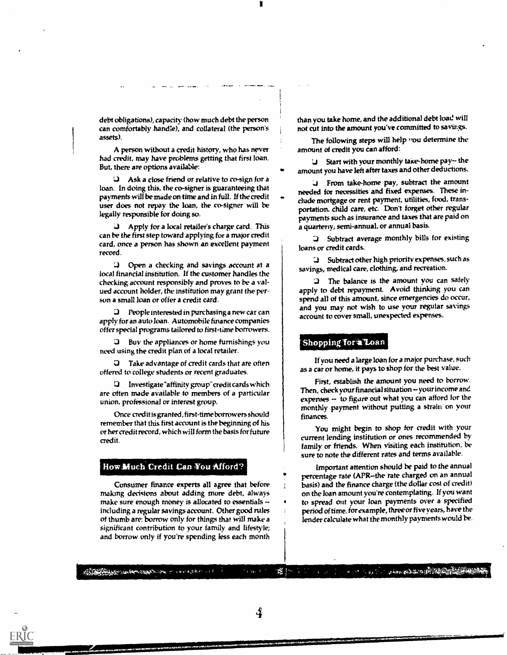debt obligations), capacity (how much debt the person can comfortably handle), and collateral (the person's assets).

A person without a credit history, who has never had credit, may have problems getting that first loan. But, there are options available:

Ask a close friend or relative to co-sign for a loan. In doing this, the co-signer is guaranteeing that payments will be made on time and in full. If the credit user does not repay the loan, the co-signer will be legally responsible for doing so.

Apply for a local retailer's charge card. This can be the first step toward applying for a major credit card, once a person has shown an excellent payment record.

Open a checking and savings account at a local financial institution. If the customer handles the checking account responsibly and proves to be a valued account holder, the institution may grant the person a small loan or offer a credit card.

People interested in purchasing a new car can apply for an auto loan. Automobile finance companies offer special programs tailored to first-time borrowers.

J Buy the appliances or home furnishings you need using the credit plan of a local retailer.

Take advantage of credit cards that are often offered to college students or recent graduates.

 $\Box$  Investigate "affinity group" credit cards which are often made available to members of a particular union, professional or interest group.

Once credit is granted, first-time borrowers should remember that this first account is the beginning of his or her credit record, which will form the basis for future credit.

#### How.Much Credit Can You Afford?

Consumer finance experts all agree that before making decisions about adding more debt, always make sure enough money is allocated to essentials  $\sim$ including a regular savings account. Other good rules of thumb are: borrow only for things that will make a significant contribution to your family and lifestyle; and borrow only if you're spending less each month

than you take home, and the additional debt load will not cut into the amount you've committed to savings.

The following steps will help you determine the amount of credit you can afford:

 $U$  Start with your monthly take-home pay-the amount you have left after taxes and other deductions.

LI From take-home pay, subtract the amount needed for necessities and fixed expenses. These indude mortgage or rent payment, utilities, food, transportation, child care, etc. Don't forget other regular payments such as insurance and taxes that are paid on a quarteny, semi-annual, or annual basis.

G Subtract average monthly bills for existing loans or credit cards.

 $Q$  Subtract other high priority expenses, such as savings, medical care, clothing, and recreation.

J The balance is the amount you can safely apply to debt repayment. Avoid thinking you can spend all of this amount, since emergencies do occur, and you may not wish to use your regular savings account to cover small, unexpected expenses.

#### Shopping for *4 Loan*

If you need a large loan for a major purchase, such as a car or home, it pays to shop for the best value.

First, establish the amount you need to borrow. Then, check your financial situation -- your income and expenses  $-$  to figure out what you can afford for the monthly payment without putting a strain on your finances.

You might begin to shop for credit with your current lending institution or ones recommended by family or friends. When visiting each institution, be sure to note the different rates and terms available.

Important attention should be paid to the annual percentage rate (APR-the rate charged on an annual basis) and the finance charge (the dollar cost of credit) on the loan amount you're contemplating. If you want to spread out your loan payments over a specified period of time, for example, three or five years, have the lender calculate what the monthly payments would be.

Arthur March 2018 - Caroly March 2019 and the state of the state of the state of the state of the state of the state of the state of the state of the

4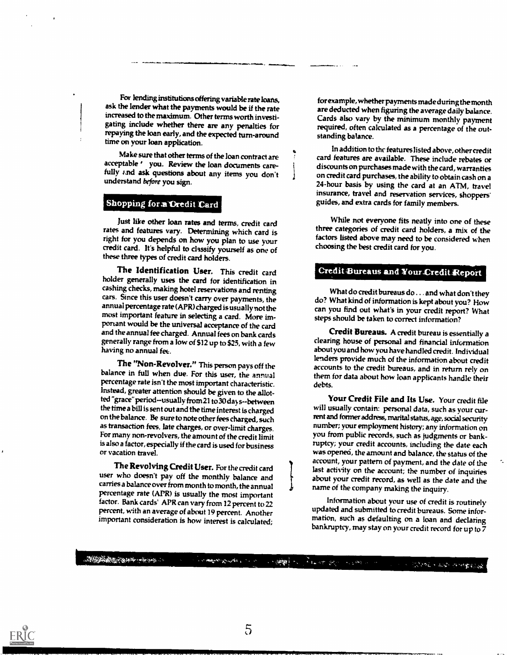For lending institutions offering variable rate loans, ask the lender what the payments would be if the rate increased to the maximum. Other terms worth investigating include whether there are any penalties for repaying the loan early, and the expected turn-around time on your loan application.

Make sure that other terms of the loan contract are<br>acceptable 'you. Review the loan documents carefully ' and ask questions about any items you don't understand before you sign.

#### Shopping for a Credit Card

Just like other loan rates and terms, credit card rates and features vary. Determining which card is right for you depends on how you plan to use your credit card. It's helpful to classify yourself as one of these three types of credit card holders.

The Identification User. This credit card holder generally uses the card for identification in cashing checks, making hotel reservations and renting cars. Since this user doesn't carry over payments, the annual percentage rate (APR) charged is usually not the most important feature in selecting a card. More important would be the universal acceptance of the card and the annual fee charged. Annual fees on bank cards generally range from a low of \$12 up to \$25, with a few having no annual fee.

The "Non-Revolver." This person pays off the balance in full when due. For this user, the annual percentage rate isn't the most important characteristic. Instead, greater attention should be given to the allotted "grace" period-usually from 21 to 30 days--between the time a bill is sent out and the time interest is charged on the balance. Be sure to note other fees charged, such as transaction fees, late charges, or over-limit charges. For many non-revolvers, the amount of the credit limit is also a factor, especially if the card is used for business or vacation travel.

The Revolving Credit User. For the credit card user who doesn't pay off the monthly balance and carries a balance over from month to month, the annual percentage rate (APR) is usually the most important factor. Bank cards' APR can vary from 12 percent to 22 percent, with an average of about 19 percent. Another important consideration is how interest is calculated;

for example, whether payments made during the month are deducted when figuring the average daily balance. Cards also vary by the minimum monthly payment required, often calculated as a percentage of the outstanding balance.

In addition to the features listed above, other credit card features are available. These include rebates or discounts on purchases made with the card, warranties on credit card purchases, the ability to obtain cash on a 24-hour basis by using the card at an ATM, travel insurance, travel and reservation services, shoppers' guides, and extra cards for family members.

While not everyone fits neatly into one of these three categories of credit card holders, a mix of the factors listed above may need to be considered when choosing the best credit card for you.

#### Credit Bureaus and Your Credit Report

What do credit bureaus do . . . and what don't they do? What kind of information is kept about you? How can you find out what's in your credit report? What steps should be taken to correct information?

Credit Bureaus. A credit bureau is essentially a clearing house of personal and financial information about you and how you have handled credit. Individual lenders provide much of the information about credit accounts to the credit bureaus, and in return rely on them for data about how loan applicants handle their debts.

Your Credit File and Its Use. Your credit file will usually contain: personal data, such as your current and former address, marital status, age, social security number; your employment history; any information on you from public records, such as judgments or bankruptcy; your credit accounts, including the date each was opened, the amount and balance, the status of the account, your pattern of payment, and the date of the last activity on the account; the number of inquiries about your credit record, as well as the date and the name of the company making the inquiry.

Information about your use of credit is routinely updated and submitted to credit bureaus. Some information, such as defaulting on a loan and declaring bankruptcy, may stay on your credit record forup to 7

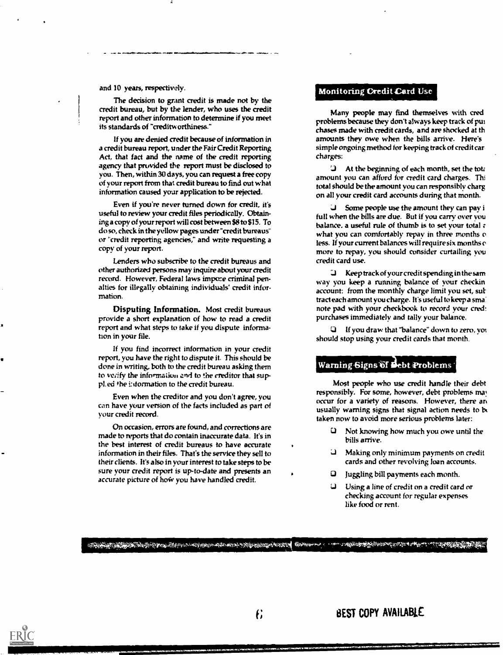#### and 10 years, respectively.

The decision to grant credit is made not by the credit bureau, but by the lender, who uses the credit report and other information to determine if you meet its standards of "creditworthiness."

If you are denied credit because of information in a credit bureau report, under the Fair Credit Reporting Act, that fact and the name of the credit reporting agency that provided the report must be disclosed to you. Then, within 30 days, you can request a free copy of your report from that credit bureau to find out what information caused your application to be rejected.

Even if you're never turned down for credit, it's useful to review your credit files periodically. Obtaining a copy of your report will cost between SS to \$15. To do so, check in the yellow pages under"credit bureaus" or "credit reporting agencies," and write requesting a copy of your report.

Lenders who subscribe to the credit bureaus and other authorized persons may inquire about your credit record. However, Federal laws impoce criminal penalties for illegally obtaining individuals' credit information.

Disputing information. Most credit bureaus provide a short explanation of how to read a credit report and what steps to take if you dispute information in your file.

If you find incorrect information in your credit report, you have the right to dispute it. This should be done in writing, both to the credit bureau asking them Warning Signs of Debt Problems to veiffy the information and to the creditor that suppl. ed the i:dormation to the credit bureau.

Even when the creditor and you don't agree, you can have your version of the facts included as part of your credit record.

On occasion, errors are found, and corrections are made to reports that do contain inaccurate data. It's in the best interest of credit bureaus to have accurate information in their files. That's the service they sell to their clients. It's also in your interest to take steps to be sure your credit report is up-to-date and presents an accurate picture of how you have handled credit.

#### Monitoring Credit Card Use

Many people may fmd themselves with cred problems because they don't always keep track of pui chases made with credit cards, and are shocked at th amounts they owe when the bills arrive. Here's simple ongoing method for keeping track of credit car charges:

 $\mathbf{u}$  At the beginning of each month, set the total amount you can afford for credit card charges. Thi total should be the amount you can responsibly charg on all your credit card accounts during that month.

 $J$  Some people use the amount they can pay i full when the bills are due. But if you carry over you balance. a useful rule of thumb is to set your total z what you can comfortably repay in three months o less. If your current balances will require six months c more to repay, you should consider curtailing you credit card use.<br> $\Box$  Keep track of your credit spending in the same

way you keep a running balance of your checkin account: from the monthly charge limit you set, sultract each amount you charge. It's useful to keep a sma note pad with your checkbook to record your cred: purchases immediately and tally your balance.

If you draw that "balance" down to zero, yot should stop using your credit cards that month.

Most people who use credit handle their debt responsibly. For some, however, debt problems may occur for a variety of reasons. However, there an usually warning signs that signal action needs to be taken now to avoid more serious problems later:

- Li Not knowing how much you owe until the bills arrive.<br>Making only minimum payments on credit
- cards and other revolving loan accounts.
- C) juggling bill payments each month.
- Li Using a line of credit on a credit card or checking account for regular expenses like food or rent.

#### <u>electric de la composition de la completación de la completación de completación de la completación de la completación de la completación de la completación de la completación de la completación de la completación de la c</u>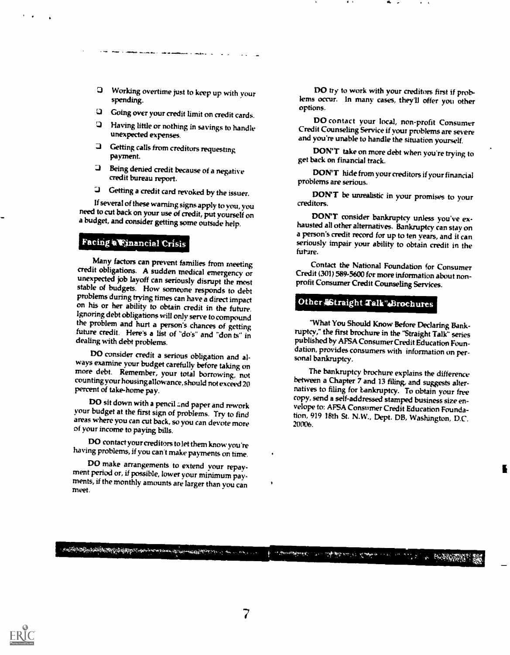- Working overtime just to keep up with your spending.
- LI Going over your credit limit on credit cards.
- Having little or nothing in savings to handle unexpected expenses.
- J Getting calls from creditors requesting
- **Q** Being denied credit because of a negative credit bureau report.<br>**Q** Getting a credit card revoked by the issuer.
- 

If several of these warning signs apply to you, you need to cut back on your use of credit, put yourself on a budget, and consider getting some outside help.

#### Facing a Financial Crisis

Many factors can prevent families from meeting credit obligations. A sudden medical emergency or stable of budgets. How someone responds to debt problems during trying times can have a direct impact on his or her ability to obtain credit in the future. Ignoring debt obligations will only serve to compound the problem and hurt a person's chances of getting future credit. Here's a list of "do's" and "don ts" in dealing with debt problems.

DO consider credit a serious obligation and al- ways examine your budget carefully before taking on more debt. Remember, your total borrowing, not counting your housing allowance,should not exceed 20 percent of take-home pay.

DO sit down with a pencil and paper and rework<br>your budget at the first sign of problems. Try to find areas where you can cut back, so you can devote more of your income to paying bills.

DO contact your creditors to let them know you're<br>having problems, if you can't make payments on time.<br>DO make arrangements to extend your repay-

ment period or, if possible, lower your minimum pay-<br>ments, if the monthly amounts are larger than you can<br>meet.

المعاد المجاور بأنه بأنه معاهدة من المعاصر المستوفين الموافق المحافظة الموافق الموافقة الموافقة الموافقة الموافقة<br>والموافقة المستوفية الموافقة الموافقة الموافقة الموافقة الموافقة الموافقة الموافقة الموافقة الموافقة المواف

DO try to work with your creditors first if problems occur. In many cases, they'll offer you other options.

DO contact your local, non-profit Consumer Credit Counseling Service if your problems are severe and you're unable to handle the situation yourself.

DON'T take on more debt when you're trying to get back on financial track.

DON'T hide from your creditors if your financial problems are serious.

DON'T be unrealistic in your promises to your creditors.

DON'T consider bankruptcy unless you've ex- hausted all other alternatives. Bankruptcy can stay on a person's credit record for up to ten years, and it can seriously impair your ability to obtain credit in the future.

Contact the National Foundation for Consumer Credit (301) 589-5600 for more information about nonprofit Consumer Credit Counseling Services.

### Other Aftraight Talk".Brochures

"What You Should Know Before Declaring Bank- ruptcy," the first brochure in the 'Straight Talk" series published by AFSA Consumer Credit Education Foundation, provides consumers with information on per-<br>sonal bankruptcy.

The bankruptcy brochure explains the difference<br>between a Chapter 7 and 13 filing, and suggests alternatives to filing for bankruptcy. To obtain your free copy, send a self-addressed stamped business size envelope to: AFSA Consumer Credit Education Foundation, 919 18th St. N.W., Dept. DB, Washington, D.C. 20006.

to comparable that is the first who is had not as a set of the first the comparable of



دور در باز به دوم از در این باز از باز<del>اره بازیگر بازی بازی به د</del>ر